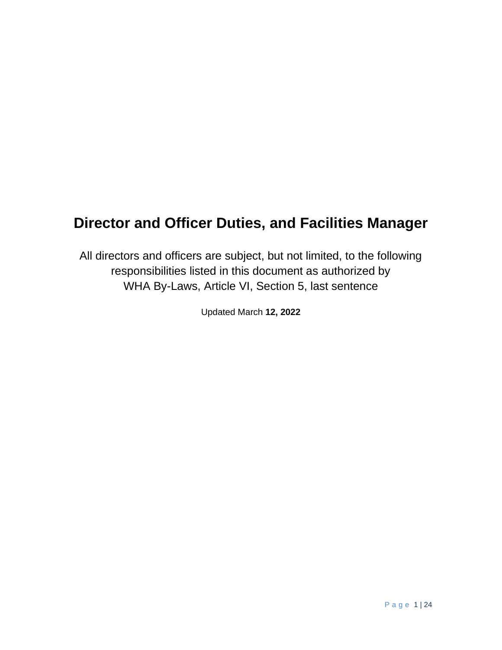# **Director and Officer Duties, and Facilities Manager**

All directors and officers are subject, but not limited, to the following responsibilities listed in this document as authorized by WHA By-Laws, Article VI, Section 5, last sentence

Updated March **12, 2022**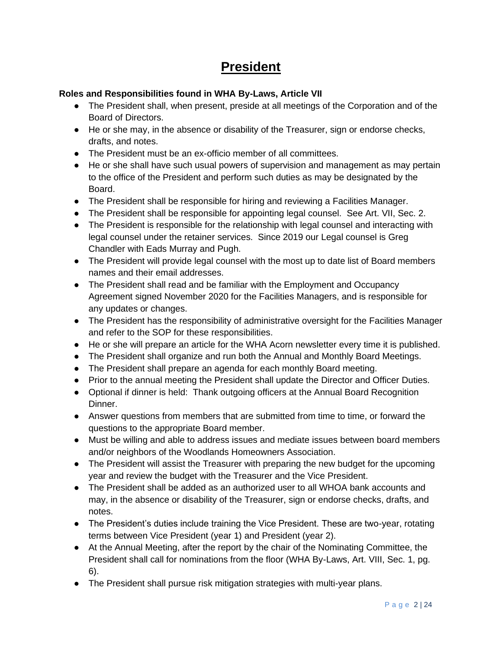## **President**

### **Roles and Responsibilities found in WHA By-Laws, Article VII**

- The President shall, when present, preside at all meetings of the Corporation and of the Board of Directors.
- He or she may, in the absence or disability of the Treasurer, sign or endorse checks, drafts, and notes.
- The President must be an ex-officio member of all committees.
- He or she shall have such usual powers of supervision and management as may pertain to the office of the President and perform such duties as may be designated by the Board.
- The President shall be responsible for hiring and reviewing a Facilities Manager.
- The President shall be responsible for appointing legal counsel. See Art. VII, Sec. 2.
- The President is responsible for the relationship with legal counsel and interacting with legal counsel under the retainer services. Since 2019 our Legal counsel is Greg Chandler with Eads Murray and Pugh.
- The President will provide legal counsel with the most up to date list of Board members names and their email addresses.
- The President shall read and be familiar with the Employment and Occupancy Agreement signed November 2020 for the Facilities Managers, and is responsible for any updates or changes.
- The President has the responsibility of administrative oversight for the Facilities Manager and refer to the SOP for these responsibilities.
- He or she will prepare an article for the WHA Acorn newsletter every time it is published.
- The President shall organize and run both the Annual and Monthly Board Meetings.
- The President shall prepare an agenda for each monthly Board meeting.
- Prior to the annual meeting the President shall update the Director and Officer Duties.
- Optional if dinner is held: Thank outgoing officers at the Annual Board Recognition Dinner.
- Answer questions from members that are submitted from time to time, or forward the questions to the appropriate Board member.
- Must be willing and able to address issues and mediate issues between board members and/or neighbors of the Woodlands Homeowners Association.
- The President will assist the Treasurer with preparing the new budget for the upcoming year and review the budget with the Treasurer and the Vice President.
- The President shall be added as an authorized user to all WHOA bank accounts and may, in the absence or disability of the Treasurer, sign or endorse checks, drafts, and notes.
- The President's duties include training the Vice President. These are two-year, rotating terms between Vice President (year 1) and President (year 2).
- At the Annual Meeting, after the report by the chair of the Nominating Committee, the President shall call for nominations from the floor (WHA By-Laws, Art. VIII, Sec. 1, pg. 6).
- The President shall pursue risk mitigation strategies with multi-year plans.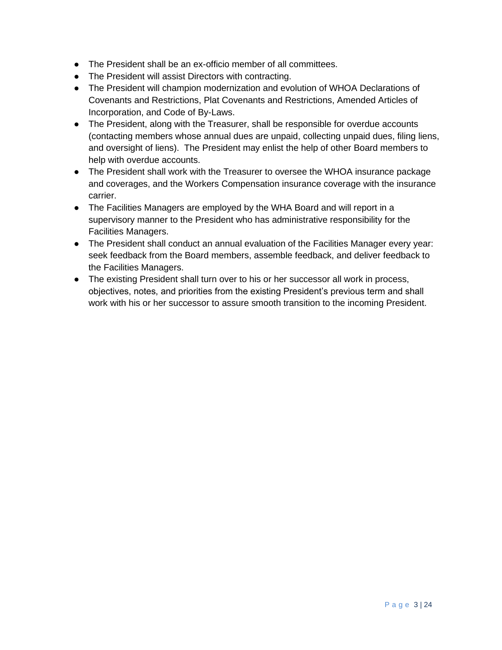- The President shall be an ex-officio member of all committees.
- The President will assist Directors with contracting.
- The President will champion modernization and evolution of WHOA Declarations of Covenants and Restrictions, Plat Covenants and Restrictions, Amended Articles of Incorporation, and Code of By-Laws.
- The President, along with the Treasurer, shall be responsible for overdue accounts (contacting members whose annual dues are unpaid, collecting unpaid dues, filing liens, and oversight of liens). The President may enlist the help of other Board members to help with overdue accounts.
- The President shall work with the Treasurer to oversee the WHOA insurance package and coverages, and the Workers Compensation insurance coverage with the insurance carrier.
- The Facilities Managers are employed by the WHA Board and will report in a supervisory manner to the President who has administrative responsibility for the Facilities Managers.
- The President shall conduct an annual evaluation of the Facilities Manager every year: seek feedback from the Board members, assemble feedback, and deliver feedback to the Facilities Managers.
- The existing President shall turn over to his or her successor all work in process, objectives, notes, and priorities from the existing President's previous term and shall work with his or her successor to assure smooth transition to the incoming President.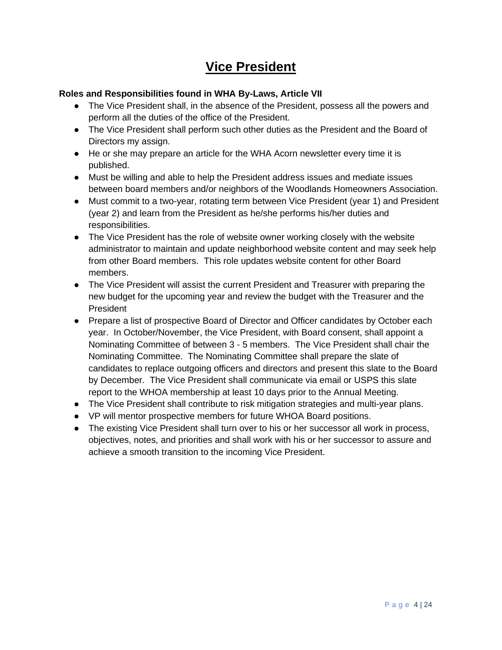## **Vice President**

### **Roles and Responsibilities found in WHA By-Laws, Article VII**

- The Vice President shall, in the absence of the President, possess all the powers and perform all the duties of the office of the President.
- The Vice President shall perform such other duties as the President and the Board of Directors my assign.
- He or she may prepare an article for the WHA Acorn newsletter every time it is published.
- Must be willing and able to help the President address issues and mediate issues between board members and/or neighbors of the Woodlands Homeowners Association.
- Must commit to a two-year, rotating term between Vice President (year 1) and President (year 2) and learn from the President as he/she performs his/her duties and responsibilities.
- The Vice President has the role of website owner working closely with the website administrator to maintain and update neighborhood website content and may seek help from other Board members. This role updates website content for other Board members.
- The Vice President will assist the current President and Treasurer with preparing the new budget for the upcoming year and review the budget with the Treasurer and the President
- Prepare a list of prospective Board of Director and Officer candidates by October each year. In October/November, the Vice President, with Board consent, shall appoint a Nominating Committee of between 3 - 5 members. The Vice President shall chair the Nominating Committee. The Nominating Committee shall prepare the slate of candidates to replace outgoing officers and directors and present this slate to the Board by December. The Vice President shall communicate via email or USPS this slate report to the WHOA membership at least 10 days prior to the Annual Meeting.
- The Vice President shall contribute to risk mitigation strategies and multi-year plans.
- VP will mentor prospective members for future WHOA Board positions.
- The existing Vice President shall turn over to his or her successor all work in process, objectives, notes, and priorities and shall work with his or her successor to assure and achieve a smooth transition to the incoming Vice President.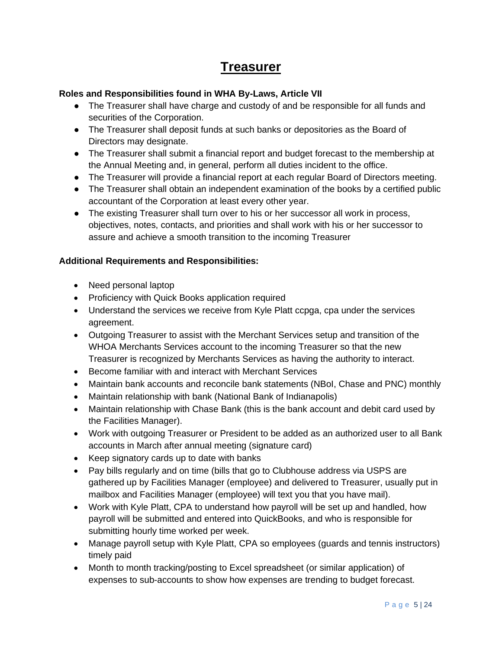## **Treasurer**

### **Roles and Responsibilities found in WHA By-Laws, Article VII**

- The Treasurer shall have charge and custody of and be responsible for all funds and securities of the Corporation.
- The Treasurer shall deposit funds at such banks or depositories as the Board of Directors may designate.
- The Treasurer shall submit a financial report and budget forecast to the membership at the Annual Meeting and, in general, perform all duties incident to the office.
- The Treasurer will provide a financial report at each regular Board of Directors meeting.
- The Treasurer shall obtain an independent examination of the books by a certified public accountant of the Corporation at least every other year.
- The existing Treasurer shall turn over to his or her successor all work in process, objectives, notes, contacts, and priorities and shall work with his or her successor to assure and achieve a smooth transition to the incoming Treasurer

### **Additional Requirements and Responsibilities:**

- Need personal laptop
- Proficiency with Quick Books application required
- Understand the services we receive from Kyle Platt ccpga, cpa under the services agreement.
- Outgoing Treasurer to assist with the Merchant Services setup and transition of the WHOA Merchants Services account to the incoming Treasurer so that the new Treasurer is recognized by Merchants Services as having the authority to interact.
- Become familiar with and interact with Merchant Services
- Maintain bank accounts and reconcile bank statements (NBoI, Chase and PNC) monthly
- Maintain relationship with bank (National Bank of Indianapolis)
- Maintain relationship with Chase Bank (this is the bank account and debit card used by the Facilities Manager).
- Work with outgoing Treasurer or President to be added as an authorized user to all Bank accounts in March after annual meeting (signature card)
- Keep signatory cards up to date with banks
- Pay bills regularly and on time (bills that go to Clubhouse address via USPS are gathered up by Facilities Manager (employee) and delivered to Treasurer, usually put in mailbox and Facilities Manager (employee) will text you that you have mail).
- Work with Kyle Platt, CPA to understand how payroll will be set up and handled, how payroll will be submitted and entered into QuickBooks, and who is responsible for submitting hourly time worked per week.
- Manage payroll setup with Kyle Platt, CPA so employees (guards and tennis instructors) timely paid
- Month to month tracking/posting to Excel spreadsheet (or similar application) of expenses to sub-accounts to show how expenses are trending to budget forecast.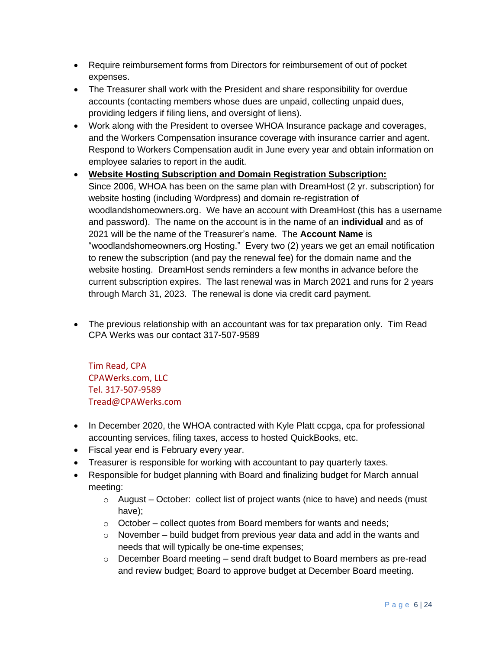- Require reimbursement forms from Directors for reimbursement of out of pocket expenses.
- The Treasurer shall work with the President and share responsibility for overdue accounts (contacting members whose dues are unpaid, collecting unpaid dues, providing ledgers if filing liens, and oversight of liens).
- Work along with the President to oversee WHOA Insurance package and coverages, and the Workers Compensation insurance coverage with insurance carrier and agent. Respond to Workers Compensation audit in June every year and obtain information on employee salaries to report in the audit.
- **Website Hosting Subscription and Domain Registration Subscription:** Since 2006, WHOA has been on the same plan with DreamHost (2 yr. subscription) for website hosting (including Wordpress) and domain re-registration of woodlandshomeowners.org. We have an account with DreamHost (this has a username and password). The name on the account is in the name of an **individual** and as of 2021 will be the name of the Treasurer's name. The **Account Name** is "woodlandshomeowners.org Hosting." Every two (2) years we get an email notification to renew the subscription (and pay the renewal fee) for the domain name and the website hosting. DreamHost sends reminders a few months in advance before the current subscription expires. The last renewal was in March 2021 and runs for 2 years through March 31, 2023. The renewal is done via credit card payment.
- The previous relationship with an accountant was for tax preparation only. Tim Read CPA Werks was our contact 317-507-9589

Tim Read, CPA CPAWerks.com, LLC Tel. 317-507-9589 Tread@CPAWerks.com

- In December 2020, the WHOA contracted with Kyle Platt ccpga, cpa for professional accounting services, filing taxes, access to hosted QuickBooks, etc.
- Fiscal year end is February every year.
- Treasurer is responsible for working with accountant to pay quarterly taxes.
- Responsible for budget planning with Board and finalizing budget for March annual meeting:
	- $\circ$  August October: collect list of project wants (nice to have) and needs (must have);
	- $\circ$  October collect quotes from Board members for wants and needs;
	- $\circ$  November build budget from previous year data and add in the wants and needs that will typically be one-time expenses;
	- o December Board meeting send draft budget to Board members as pre-read and review budget; Board to approve budget at December Board meeting.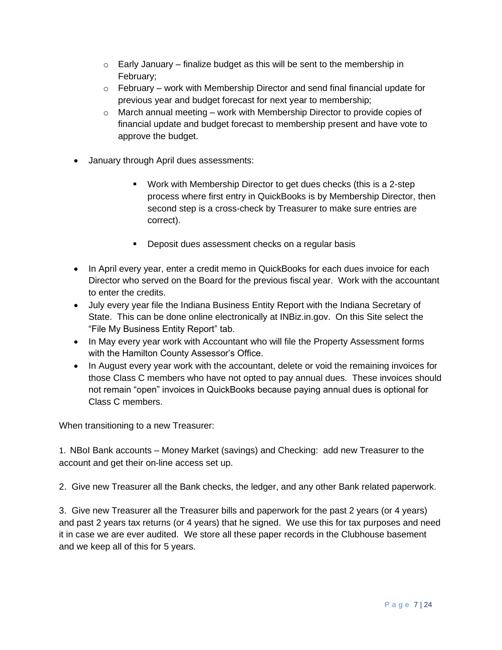- $\circ$  Early January finalize budget as this will be sent to the membership in February;
- $\circ$  February work with Membership Director and send final financial update for previous year and budget forecast for next year to membership;
- $\circ$  March annual meeting work with Membership Director to provide copies of financial update and budget forecast to membership present and have vote to approve the budget.
- January through April dues assessments:
	- Work with Membership Director to get dues checks (this is a 2-step process where first entry in QuickBooks is by Membership Director, then second step is a cross-check by Treasurer to make sure entries are correct).
	- Deposit dues assessment checks on a regular basis
- In April every year, enter a credit memo in QuickBooks for each dues invoice for each Director who served on the Board for the previous fiscal year. Work with the accountant to enter the credits.
- July every year file the Indiana Business Entity Report with the Indiana Secretary of State. This can be done online electronically at INBiz.in.gov. On this Site select the "File My Business Entity Report" tab.
- In May every year work with Accountant who will file the Property Assessment forms with the Hamilton County Assessor's Office.
- In August every year work with the accountant, delete or void the remaining invoices for those Class C members who have not opted to pay annual dues. These invoices should not remain "open" invoices in QuickBooks because paying annual dues is optional for Class C members.

When transitioning to a new Treasurer:

1. NBoI Bank accounts – Money Market (savings) and Checking: add new Treasurer to the account and get their on-line access set up.

2. Give new Treasurer all the Bank checks, the ledger, and any other Bank related paperwork.

3. Give new Treasurer all the Treasurer bills and paperwork for the past 2 years (or 4 years) and past 2 years tax returns (or 4 years) that he signed. We use this for tax purposes and need it in case we are ever audited. We store all these paper records in the Clubhouse basement and we keep all of this for 5 years.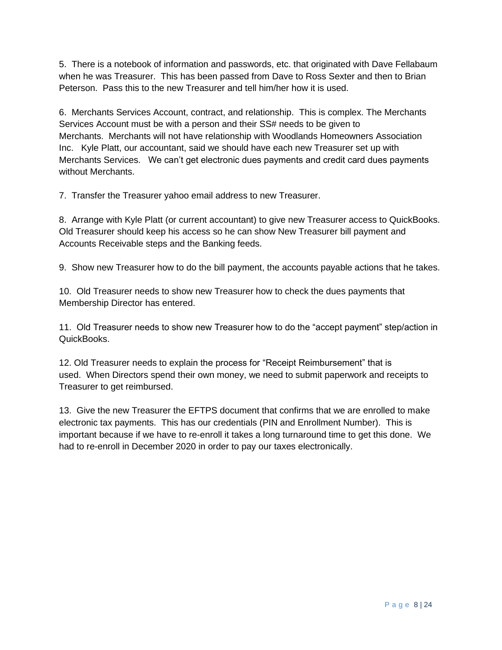5. There is a notebook of information and passwords, etc. that originated with Dave Fellabaum when he was Treasurer. This has been passed from Dave to Ross Sexter and then to Brian Peterson. Pass this to the new Treasurer and tell him/her how it is used.

6. Merchants Services Account, contract, and relationship. This is complex. The Merchants Services Account must be with a person and their SS# needs to be given to Merchants. Merchants will not have relationship with Woodlands Homeowners Association Inc. Kyle Platt, our accountant, said we should have each new Treasurer set up with Merchants Services. We can't get electronic dues payments and credit card dues payments without Merchants.

7. Transfer the Treasurer yahoo email address to new Treasurer.

8. Arrange with Kyle Platt (or current accountant) to give new Treasurer access to QuickBooks. Old Treasurer should keep his access so he can show New Treasurer bill payment and Accounts Receivable steps and the Banking feeds.

9. Show new Treasurer how to do the bill payment, the accounts payable actions that he takes.

10. Old Treasurer needs to show new Treasurer how to check the dues payments that Membership Director has entered.

11. Old Treasurer needs to show new Treasurer how to do the "accept payment" step/action in QuickBooks.

12. Old Treasurer needs to explain the process for "Receipt Reimbursement" that is used. When Directors spend their own money, we need to submit paperwork and receipts to Treasurer to get reimbursed.

13. Give the new Treasurer the EFTPS document that confirms that we are enrolled to make electronic tax payments. This has our credentials (PIN and Enrollment Number). This is important because if we have to re-enroll it takes a long turnaround time to get this done. We had to re-enroll in December 2020 in order to pay our taxes electronically.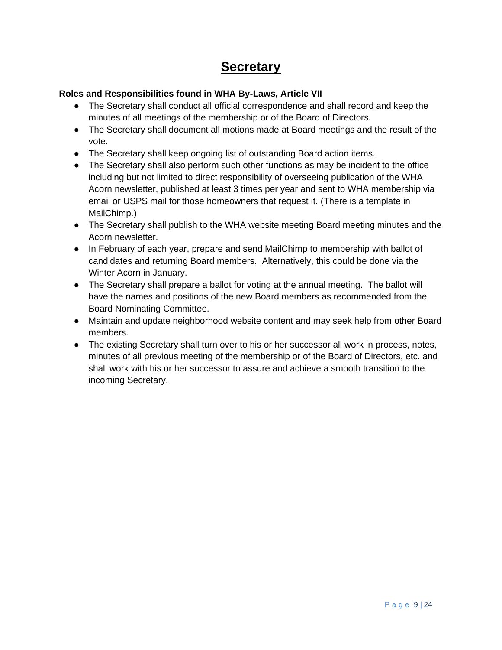## **Secretary**

### **Roles and Responsibilities found in WHA By-Laws, Article VII**

- The Secretary shall conduct all official correspondence and shall record and keep the minutes of all meetings of the membership or of the Board of Directors.
- The Secretary shall document all motions made at Board meetings and the result of the vote.
- The Secretary shall keep ongoing list of outstanding Board action items.
- The Secretary shall also perform such other functions as may be incident to the office including but not limited to direct responsibility of overseeing publication of the WHA Acorn newsletter, published at least 3 times per year and sent to WHA membership via email or USPS mail for those homeowners that request it. (There is a template in MailChimp.)
- The Secretary shall publish to the WHA website meeting Board meeting minutes and the Acorn newsletter.
- In February of each year, prepare and send MailChimp to membership with ballot of candidates and returning Board members. Alternatively, this could be done via the Winter Acorn in January.
- The Secretary shall prepare a ballot for voting at the annual meeting. The ballot will have the names and positions of the new Board members as recommended from the Board Nominating Committee.
- Maintain and update neighborhood website content and may seek help from other Board members.
- The existing Secretary shall turn over to his or her successor all work in process, notes, minutes of all previous meeting of the membership or of the Board of Directors, etc. and shall work with his or her successor to assure and achieve a smooth transition to the incoming Secretary.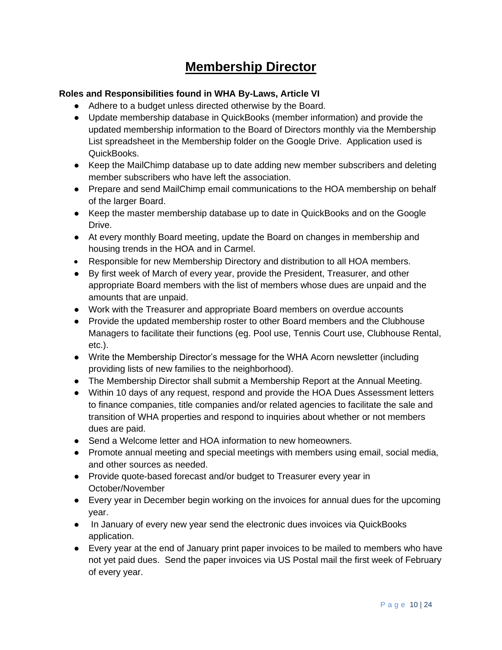## **Membership Director**

### **Roles and Responsibilities found in WHA By-Laws, Article VI**

- Adhere to a budget unless directed otherwise by the Board.
- Update membership database in QuickBooks (member information) and provide the updated membership information to the Board of Directors monthly via the Membership List spreadsheet in the Membership folder on the Google Drive. Application used is QuickBooks.
- Keep the MailChimp database up to date adding new member subscribers and deleting member subscribers who have left the association.
- Prepare and send MailChimp email communications to the HOA membership on behalf of the larger Board.
- Keep the master membership database up to date in QuickBooks and on the Google Drive.
- At every monthly Board meeting, update the Board on changes in membership and housing trends in the HOA and in Carmel.
- Responsible for new Membership Directory and distribution to all HOA members.
- By first week of March of every year, provide the President, Treasurer, and other appropriate Board members with the list of members whose dues are unpaid and the amounts that are unpaid.
- Work with the Treasurer and appropriate Board members on overdue accounts
- Provide the updated membership roster to other Board members and the Clubhouse Managers to facilitate their functions (eg. Pool use, Tennis Court use, Clubhouse Rental, etc.).
- Write the Membership Director's message for the WHA Acorn newsletter (including providing lists of new families to the neighborhood).
- The Membership Director shall submit a Membership Report at the Annual Meeting.
- Within 10 days of any request, respond and provide the HOA Dues Assessment letters to finance companies, title companies and/or related agencies to facilitate the sale and transition of WHA properties and respond to inquiries about whether or not members dues are paid.
- Send a Welcome letter and HOA information to new homeowners.
- Promote annual meeting and special meetings with members using email, social media, and other sources as needed.
- Provide quote-based forecast and/or budget to Treasurer every year in October/November
- Every year in December begin working on the invoices for annual dues for the upcoming year.
- In January of every new year send the electronic dues invoices via QuickBooks application.
- Every year at the end of January print paper invoices to be mailed to members who have not yet paid dues. Send the paper invoices via US Postal mail the first week of February of every year.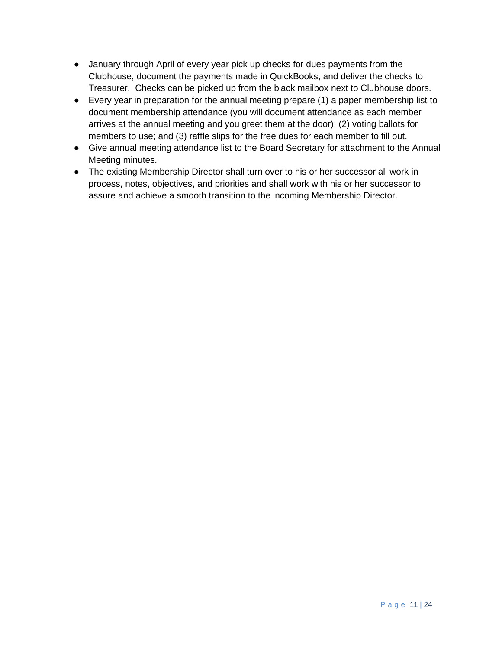- January through April of every year pick up checks for dues payments from the Clubhouse, document the payments made in QuickBooks, and deliver the checks to Treasurer. Checks can be picked up from the black mailbox next to Clubhouse doors.
- Every year in preparation for the annual meeting prepare (1) a paper membership list to document membership attendance (you will document attendance as each member arrives at the annual meeting and you greet them at the door); (2) voting ballots for members to use; and (3) raffle slips for the free dues for each member to fill out.
- Give annual meeting attendance list to the Board Secretary for attachment to the Annual Meeting minutes.
- The existing Membership Director shall turn over to his or her successor all work in process, notes, objectives, and priorities and shall work with his or her successor to assure and achieve a smooth transition to the incoming Membership Director.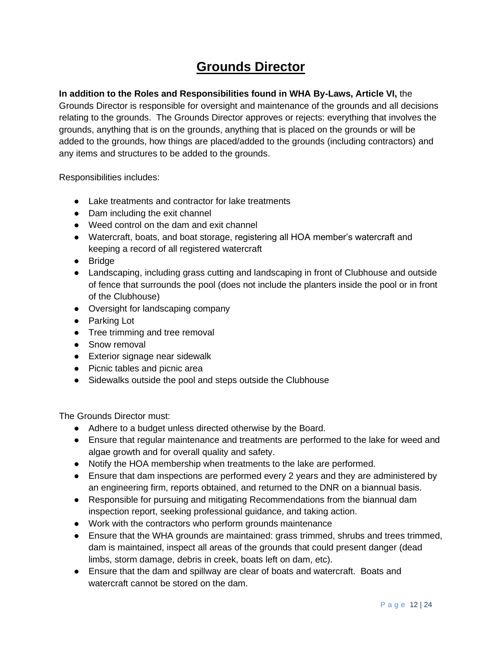## **Grounds Director**

### **In addition to the Roles and Responsibilities found in WHA By-Laws, Article VI,** the

Grounds Director is responsible for oversight and maintenance of the grounds and all decisions relating to the grounds. The Grounds Director approves or rejects: everything that involves the grounds, anything that is on the grounds, anything that is placed on the grounds or will be added to the grounds, how things are placed/added to the grounds (including contractors) and any items and structures to be added to the grounds.

Responsibilities includes:

- Lake treatments and contractor for lake treatments
- Dam including the exit channel
- Weed control on the dam and exit channel
- Watercraft, boats, and boat storage, registering all HOA member's watercraft and keeping a record of all registered watercraft
- Bridge
- Landscaping, including grass cutting and landscaping in front of Clubhouse and outside of fence that surrounds the pool (does not include the planters inside the pool or in front of the Clubhouse)
- Oversight for landscaping company
- Parking Lot
- Tree trimming and tree removal
- Snow removal
- Exterior signage near sidewalk
- Picnic tables and picnic area
- Sidewalks outside the pool and steps outside the Clubhouse

The Grounds Director must:

- Adhere to a budget unless directed otherwise by the Board.
- Ensure that regular maintenance and treatments are performed to the lake for weed and algae growth and for overall quality and safety.
- Notify the HOA membership when treatments to the lake are performed.
- Ensure that dam inspections are performed every 2 years and they are administered by an engineering firm, reports obtained, and returned to the DNR on a biannual basis.
- Responsible for pursuing and mitigating Recommendations from the biannual dam inspection report, seeking professional guidance, and taking action.
- Work with the contractors who perform grounds maintenance
- Ensure that the WHA grounds are maintained: grass trimmed, shrubs and trees trimmed, dam is maintained, inspect all areas of the grounds that could present danger (dead limbs, storm damage, debris in creek, boats left on dam, etc).
- Ensure that the dam and spillway are clear of boats and watercraft. Boats and watercraft cannot be stored on the dam.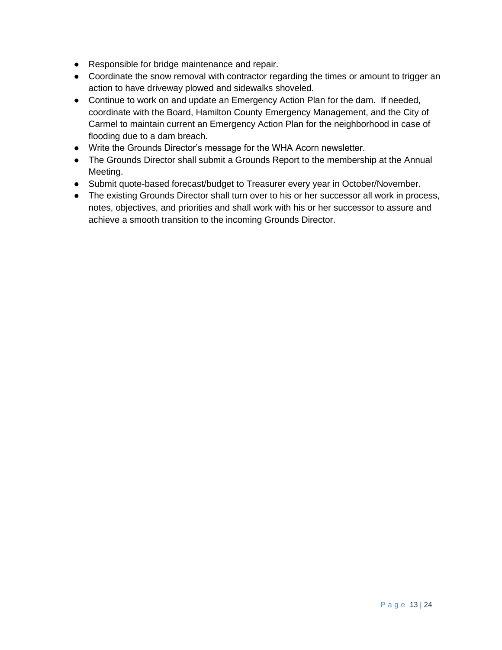- Responsible for bridge maintenance and repair.
- Coordinate the snow removal with contractor regarding the times or amount to trigger an action to have driveway plowed and sidewalks shoveled.
- Continue to work on and update an Emergency Action Plan for the dam. If needed, coordinate with the Board, Hamilton County Emergency Management, and the City of Carmel to maintain current an Emergency Action Plan for the neighborhood in case of flooding due to a dam breach.
- Write the Grounds Director's message for the WHA Acorn newsletter.
- The Grounds Director shall submit a Grounds Report to the membership at the Annual Meeting.
- Submit quote-based forecast/budget to Treasurer every year in October/November.
- The existing Grounds Director shall turn over to his or her successor all work in process, notes, objectives, and priorities and shall work with his or her successor to assure and achieve a smooth transition to the incoming Grounds Director.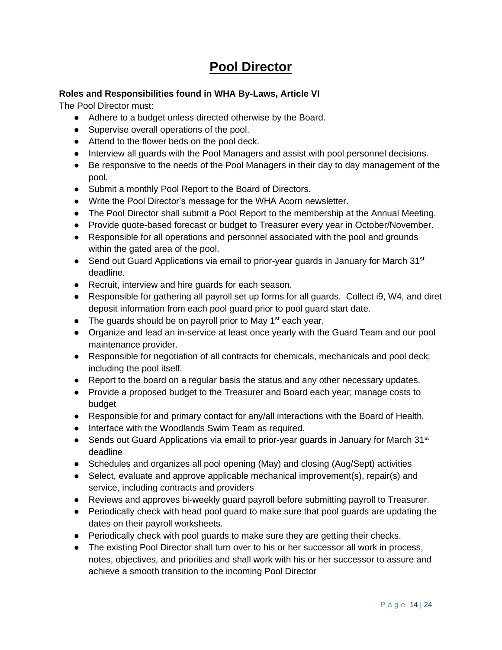## **Pool Director**

### **Roles and Responsibilities found in WHA By-Laws, Article VI**

The Pool Director must:

- Adhere to a budget unless directed otherwise by the Board.
- Supervise overall operations of the pool.
- Attend to the flower beds on the pool deck.
- Interview all guards with the Pool Managers and assist with pool personnel decisions.
- Be responsive to the needs of the Pool Managers in their day to day management of the pool.
- Submit a monthly Pool Report to the Board of Directors.
- Write the Pool Director's message for the WHA Acorn newsletter.
- The Pool Director shall submit a Pool Report to the membership at the Annual Meeting.
- Provide quote-based forecast or budget to Treasurer every year in October/November.
- Responsible for all operations and personnel associated with the pool and grounds within the gated area of the pool.
- Send out Guard Applications via email to prior-year guards in January for March 31<sup>st</sup> deadline.
- Recruit, interview and hire guards for each season.
- Responsible for gathering all payroll set up forms for all guards. Collect i9, W4, and diret deposit information from each pool guard prior to pool guard start date.
- $\bullet$  The guards should be on payroll prior to May 1<sup>st</sup> each year.
- Organize and lead an in-service at least once yearly with the Guard Team and our pool maintenance provider.
- Responsible for negotiation of all contracts for chemicals, mechanicals and pool deck; including the pool itself.
- Report to the board on a regular basis the status and any other necessary updates.
- Provide a proposed budget to the Treasurer and Board each year; manage costs to budget
- Responsible for and primary contact for any/all interactions with the Board of Health.
- Interface with the Woodlands Swim Team as required.
- Sends out Guard Applications via email to prior-year quards in January for March  $31<sup>st</sup>$ deadline
- Schedules and organizes all pool opening (May) and closing (Aug/Sept) activities
- Select, evaluate and approve applicable mechanical improvement(s), repair(s) and service, including contracts and providers
- Reviews and approves bi-weekly guard payroll before submitting payroll to Treasurer.
- Periodically check with head pool guard to make sure that pool guards are updating the dates on their payroll worksheets.
- Periodically check with pool guards to make sure they are getting their checks.
- The existing Pool Director shall turn over to his or her successor all work in process, notes, objectives, and priorities and shall work with his or her successor to assure and achieve a smooth transition to the incoming Pool Director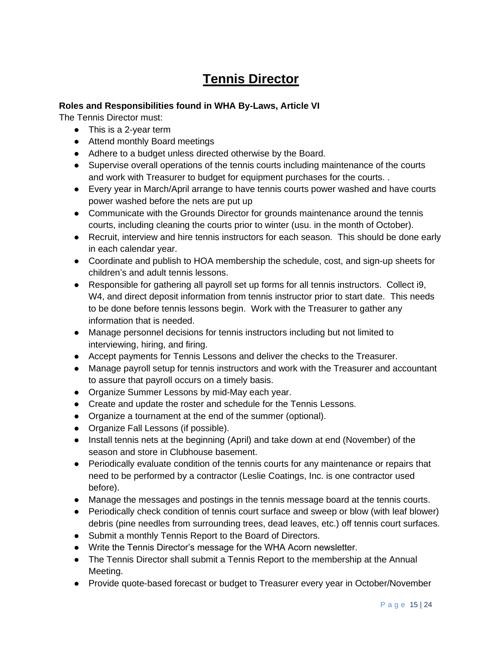## **Tennis Director**

#### **Roles and Responsibilities found in WHA By-Laws, Article VI**

The Tennis Director must:

- This is a 2-year term
- Attend monthly Board meetings
- Adhere to a budget unless directed otherwise by the Board.
- Supervise overall operations of the tennis courts including maintenance of the courts and work with Treasurer to budget for equipment purchases for the courts. .
- Every year in March/April arrange to have tennis courts power washed and have courts power washed before the nets are put up
- Communicate with the Grounds Director for grounds maintenance around the tennis courts, including cleaning the courts prior to winter (usu. in the month of October).
- Recruit, interview and hire tennis instructors for each season. This should be done early in each calendar year.
- Coordinate and publish to HOA membership the schedule, cost, and sign-up sheets for children's and adult tennis lessons.
- Responsible for gathering all payroll set up forms for all tennis instructors. Collect i9, W4, and direct deposit information from tennis instructor prior to start date. This needs to be done before tennis lessons begin. Work with the Treasurer to gather any information that is needed.
- Manage personnel decisions for tennis instructors including but not limited to interviewing, hiring, and firing.
- Accept payments for Tennis Lessons and deliver the checks to the Treasurer.
- Manage payroll setup for tennis instructors and work with the Treasurer and accountant to assure that payroll occurs on a timely basis.
- Organize Summer Lessons by mid-May each year.
- Create and update the roster and schedule for the Tennis Lessons.
- Organize a tournament at the end of the summer (optional).
- Organize Fall Lessons (if possible).
- Install tennis nets at the beginning (April) and take down at end (November) of the season and store in Clubhouse basement.
- Periodically evaluate condition of the tennis courts for any maintenance or repairs that need to be performed by a contractor (Leslie Coatings, Inc. is one contractor used before).
- Manage the messages and postings in the tennis message board at the tennis courts.
- Periodically check condition of tennis court surface and sweep or blow (with leaf blower) debris (pine needles from surrounding trees, dead leaves, etc.) off tennis court surfaces.
- Submit a monthly Tennis Report to the Board of Directors.
- Write the Tennis Director's message for the WHA Acorn newsletter.
- The Tennis Director shall submit a Tennis Report to the membership at the Annual Meeting.
- Provide quote-based forecast or budget to Treasurer every year in October/November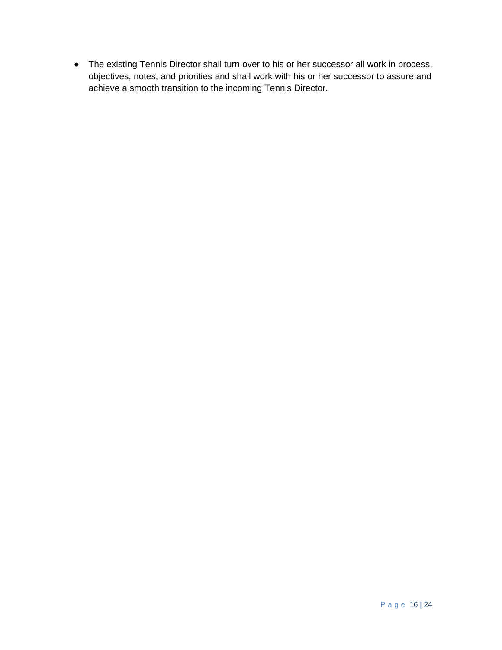● The existing Tennis Director shall turn over to his or her successor all work in process, objectives, notes, and priorities and shall work with his or her successor to assure and achieve a smooth transition to the incoming Tennis Director.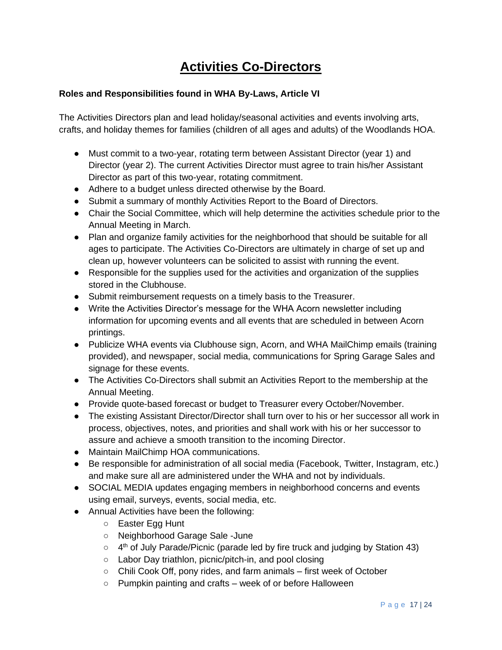## **Activities Co-Directors**

### **Roles and Responsibilities found in WHA By-Laws, Article VI**

The Activities Directors plan and lead holiday/seasonal activities and events involving arts, crafts, and holiday themes for families (children of all ages and adults) of the Woodlands HOA.

- Must commit to a two-year, rotating term between Assistant Director (year 1) and Director (year 2). The current Activities Director must agree to train his/her Assistant Director as part of this two-year, rotating commitment.
- Adhere to a budget unless directed otherwise by the Board.
- Submit a summary of monthly Activities Report to the Board of Directors.
- Chair the Social Committee, which will help determine the activities schedule prior to the Annual Meeting in March.
- Plan and organize family activities for the neighborhood that should be suitable for all ages to participate. The Activities Co-Directors are ultimately in charge of set up and clean up, however volunteers can be solicited to assist with running the event.
- Responsible for the supplies used for the activities and organization of the supplies stored in the Clubhouse.
- Submit reimbursement requests on a timely basis to the Treasurer.
- Write the Activities Director's message for the WHA Acorn newsletter including information for upcoming events and all events that are scheduled in between Acorn printings.
- Publicize WHA events via Clubhouse sign, Acorn, and WHA MailChimp emails (training provided), and newspaper, social media, communications for Spring Garage Sales and signage for these events.
- The Activities Co-Directors shall submit an Activities Report to the membership at the Annual Meeting.
- Provide quote-based forecast or budget to Treasurer every October/November.
- The existing Assistant Director/Director shall turn over to his or her successor all work in process, objectives, notes, and priorities and shall work with his or her successor to assure and achieve a smooth transition to the incoming Director.
- Maintain MailChimp HOA communications.
- Be responsible for administration of all social media (Facebook, Twitter, Instagram, etc.) and make sure all are administered under the WHA and not by individuals.
- SOCIAL MEDIA updates engaging members in neighborhood concerns and events using email, surveys, events, social media, etc.
- Annual Activities have been the following:
	- Easter Egg Hunt
	- Neighborhood Garage Sale -June
	- 4<sup>th</sup> of July Parade/Picnic (parade led by fire truck and judging by Station 43)
	- Labor Day triathlon, picnic/pitch-in, and pool closing
	- Chili Cook Off, pony rides, and farm animals first week of October
	- Pumpkin painting and crafts week of or before Halloween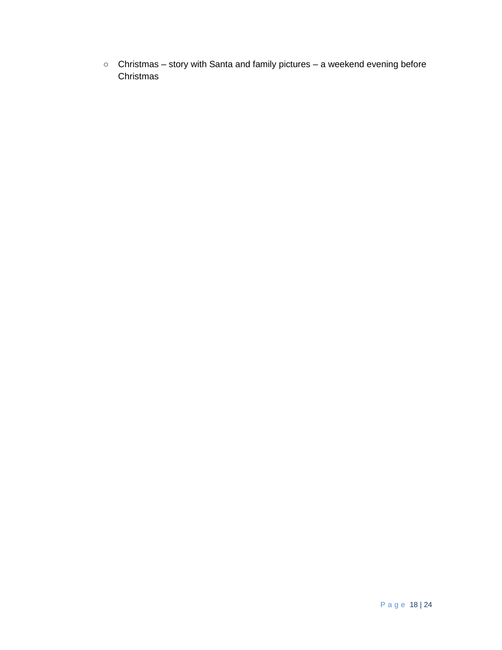○ Christmas – story with Santa and family pictures – a weekend evening before **Christmas**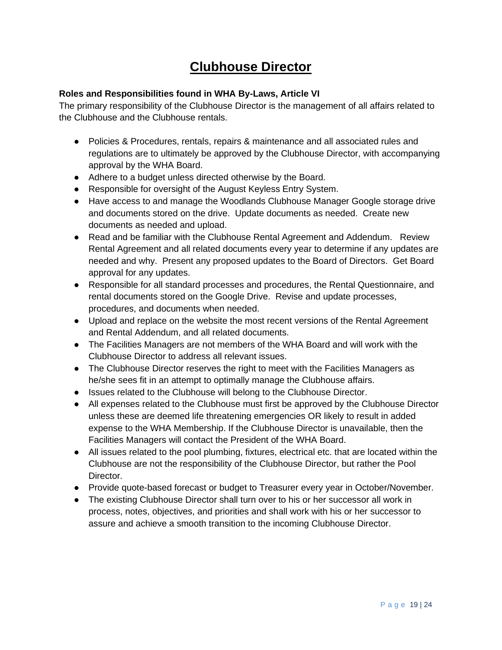## **Clubhouse Director**

### **Roles and Responsibilities found in WHA By-Laws, Article VI**

The primary responsibility of the Clubhouse Director is the management of all affairs related to the Clubhouse and the Clubhouse rentals.

- Policies & Procedures, rentals, repairs & maintenance and all associated rules and regulations are to ultimately be approved by the Clubhouse Director, with accompanying approval by the WHA Board.
- Adhere to a budget unless directed otherwise by the Board.
- Responsible for oversight of the August Keyless Entry System.
- Have access to and manage the Woodlands Clubhouse Manager Google storage drive and documents stored on the drive. Update documents as needed. Create new documents as needed and upload.
- Read and be familiar with the Clubhouse Rental Agreement and Addendum. Review Rental Agreement and all related documents every year to determine if any updates are needed and why. Present any proposed updates to the Board of Directors. Get Board approval for any updates.
- Responsible for all standard processes and procedures, the Rental Questionnaire, and rental documents stored on the Google Drive. Revise and update processes, procedures, and documents when needed.
- Upload and replace on the website the most recent versions of the Rental Agreement and Rental Addendum, and all related documents.
- The Facilities Managers are not members of the WHA Board and will work with the Clubhouse Director to address all relevant issues.
- The Clubhouse Director reserves the right to meet with the Facilities Managers as he/she sees fit in an attempt to optimally manage the Clubhouse affairs.
- Issues related to the Clubhouse will belong to the Clubhouse Director.
- All expenses related to the Clubhouse must first be approved by the Clubhouse Director unless these are deemed life threatening emergencies OR likely to result in added expense to the WHA Membership. If the Clubhouse Director is unavailable, then the Facilities Managers will contact the President of the WHA Board.
- All issues related to the pool plumbing, fixtures, electrical etc. that are located within the Clubhouse are not the responsibility of the Clubhouse Director, but rather the Pool Director.
- Provide quote-based forecast or budget to Treasurer every year in October/November.
- The existing Clubhouse Director shall turn over to his or her successor all work in process, notes, objectives, and priorities and shall work with his or her successor to assure and achieve a smooth transition to the incoming Clubhouse Director.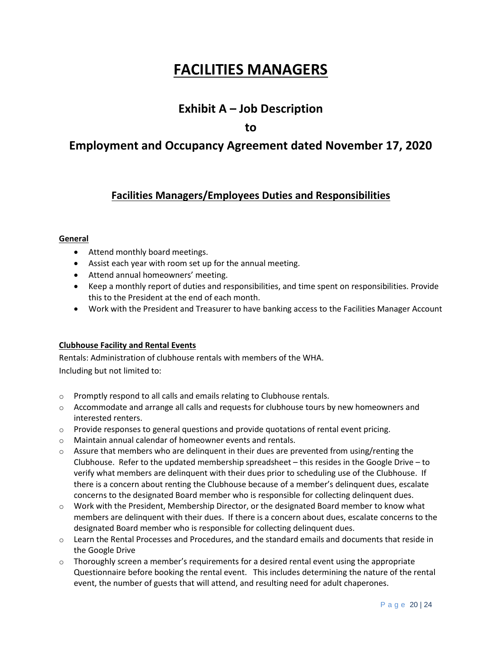# **FACILITIES MANAGERS**

## **Exhibit A – Job Description**

**to**

## **Employment and Occupancy Agreement dated November 17, 2020**

## **Facilities Managers/Employees Duties and Responsibilities**

#### **General**

- Attend monthly board meetings.
- Assist each year with room set up for the annual meeting.
- Attend annual homeowners' meeting.
- Keep a monthly report of duties and responsibilities, and time spent on responsibilities. Provide this to the President at the end of each month.
- Work with the President and Treasurer to have banking access to the Facilities Manager Account

#### **Clubhouse Facility and Rental Events**

Rentals: Administration of clubhouse rentals with members of the WHA. Including but not limited to:

- o Promptly respond to all calls and emails relating to Clubhouse rentals.
- $\circ$  Accommodate and arrange all calls and requests for clubhouse tours by new homeowners and interested renters.
- $\circ$  Provide responses to general questions and provide quotations of rental event pricing.
- o Maintain annual calendar of homeowner events and rentals.
- $\circ$  Assure that members who are delinquent in their dues are prevented from using/renting the Clubhouse. Refer to the updated membership spreadsheet – this resides in the Google Drive – to verify what members are delinquent with their dues prior to scheduling use of the Clubhouse. If there is a concern about renting the Clubhouse because of a member's delinquent dues, escalate concerns to the designated Board member who is responsible for collecting delinquent dues.
- $\circ$  Work with the President, Membership Director, or the designated Board member to know what members are delinquent with their dues. If there is a concern about dues, escalate concerns to the designated Board member who is responsible for collecting delinquent dues.
- o Learn the Rental Processes and Procedures, and the standard emails and documents that reside in the Google Drive
- $\circ$  Thoroughly screen a member's requirements for a desired rental event using the appropriate Questionnaire before booking the rental event. This includes determining the nature of the rental event, the number of guests that will attend, and resulting need for adult chaperones.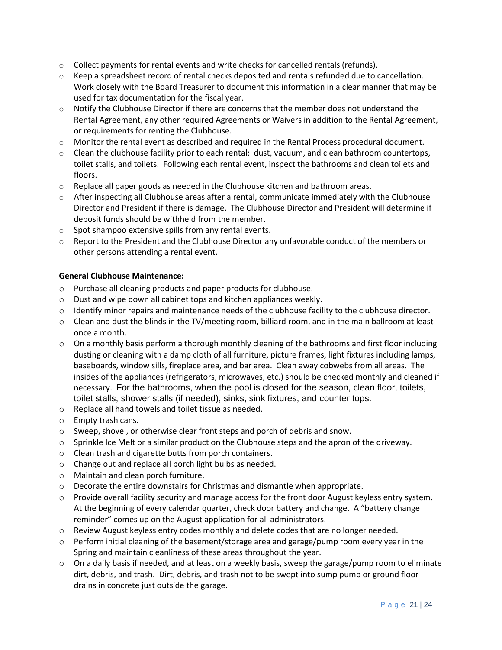- $\circ$  Collect payments for rental events and write checks for cancelled rentals (refunds).
- $\circ$  Keep a spreadsheet record of rental checks deposited and rentals refunded due to cancellation. Work closely with the Board Treasurer to document this information in a clear manner that may be used for tax documentation for the fiscal year.
- $\circ$  Notify the Clubhouse Director if there are concerns that the member does not understand the Rental Agreement, any other required Agreements or Waivers in addition to the Rental Agreement, or requirements for renting the Clubhouse.
- $\circ$  Monitor the rental event as described and required in the Rental Process procedural document.
- o Clean the clubhouse facility prior to each rental: dust, vacuum, and clean bathroom countertops, toilet stalls, and toilets. Following each rental event, inspect the bathrooms and clean toilets and floors.
- $\circ$  Replace all paper goods as needed in the Clubhouse kitchen and bathroom areas.
- $\circ$  After inspecting all Clubhouse areas after a rental, communicate immediately with the Clubhouse Director and President if there is damage. The Clubhouse Director and President will determine if deposit funds should be withheld from the member.
- o Spot shampoo extensive spills from any rental events.
- $\circ$  Report to the President and the Clubhouse Director any unfavorable conduct of the members or other persons attending a rental event.

#### **General Clubhouse Maintenance:**

- o Purchase all cleaning products and paper products for clubhouse.
- o Dust and wipe down all cabinet tops and kitchen appliances weekly.
- o Identify minor repairs and maintenance needs of the clubhouse facility to the clubhouse director.
- $\circ$  Clean and dust the blinds in the TV/meeting room, billiard room, and in the main ballroom at least once a month.
- $\circ$  On a monthly basis perform a thorough monthly cleaning of the bathrooms and first floor including dusting or cleaning with a damp cloth of all furniture, picture frames, light fixtures including lamps, baseboards, window sills, fireplace area, and bar area. Clean away cobwebs from all areas. The insides of the appliances (refrigerators, microwaves, etc.) should be checked monthly and cleaned if necessary. For the bathrooms, when the pool is closed for the season, clean floor, toilets, toilet stalls, shower stalls (if needed), sinks, sink fixtures, and counter tops.
- o Replace all hand towels and toilet tissue as needed.
- o Empty trash cans.
- o Sweep, shovel, or otherwise clear front steps and porch of debris and snow.
- $\circ$  Sprinkle Ice Melt or a similar product on the Clubhouse steps and the apron of the driveway.
- o Clean trash and cigarette butts from porch containers.
- o Change out and replace all porch light bulbs as needed.
- o Maintain and clean porch furniture.
- o Decorate the entire downstairs for Christmas and dismantle when appropriate.
- $\circ$  Provide overall facility security and manage access for the front door August keyless entry system. At the beginning of every calendar quarter, check door battery and change. A "battery change reminder" comes up on the August application for all administrators.
- $\circ$  Review August keyless entry codes monthly and delete codes that are no longer needed.
- $\circ$  Perform initial cleaning of the basement/storage area and garage/pump room every year in the Spring and maintain cleanliness of these areas throughout the year.
- $\circ$  On a daily basis if needed, and at least on a weekly basis, sweep the garage/pump room to eliminate dirt, debris, and trash. Dirt, debris, and trash not to be swept into sump pump or ground floor drains in concrete just outside the garage.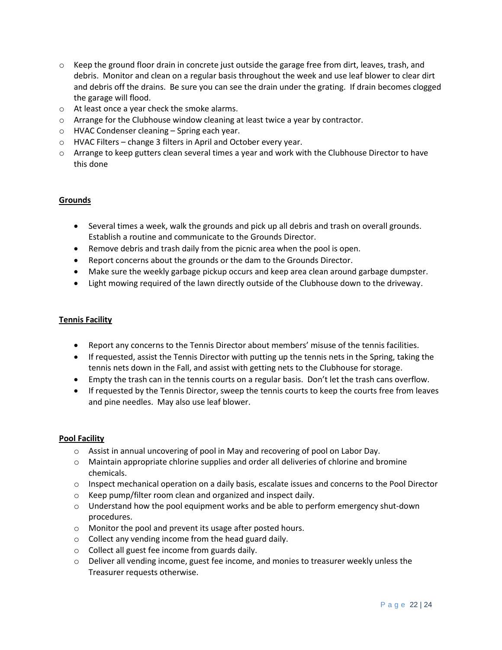- $\circ$  Keep the ground floor drain in concrete just outside the garage free from dirt, leaves, trash, and debris. Monitor and clean on a regular basis throughout the week and use leaf blower to clear dirt and debris off the drains. Be sure you can see the drain under the grating. If drain becomes clogged the garage will flood.
- o At least once a year check the smoke alarms.
- o Arrange for the Clubhouse window cleaning at least twice a year by contractor.
- o HVAC Condenser cleaning Spring each year.
- o HVAC Filters change 3 filters in April and October every year.
- o Arrange to keep gutters clean several times a year and work with the Clubhouse Director to have this done

#### **Grounds**

- Several times a week, walk the grounds and pick up all debris and trash on overall grounds. Establish a routine and communicate to the Grounds Director.
- Remove debris and trash daily from the picnic area when the pool is open.
- Report concerns about the grounds or the dam to the Grounds Director.
- Make sure the weekly garbage pickup occurs and keep area clean around garbage dumpster.
- Light mowing required of the lawn directly outside of the Clubhouse down to the driveway.

#### **Tennis Facility**

- Report any concerns to the Tennis Director about members' misuse of the tennis facilities.
- If requested, assist the Tennis Director with putting up the tennis nets in the Spring, taking the tennis nets down in the Fall, and assist with getting nets to the Clubhouse for storage.
- Empty the trash can in the tennis courts on a regular basis. Don't let the trash cans overflow.
- If requested by the Tennis Director, sweep the tennis courts to keep the courts free from leaves and pine needles. May also use leaf blower.

#### **Pool Facility**

- o Assist in annual uncovering of pool in May and recovering of pool on Labor Day.
- $\circ$  Maintain appropriate chlorine supplies and order all deliveries of chlorine and bromine chemicals.
- $\circ$  Inspect mechanical operation on a daily basis, escalate issues and concerns to the Pool Director
- o Keep pump/filter room clean and organized and inspect daily.
- $\circ$  Understand how the pool equipment works and be able to perform emergency shut-down procedures.
- o Monitor the pool and prevent its usage after posted hours.
- $\circ$  Collect any vending income from the head guard daily.
- o Collect all guest fee income from guards daily.
- o Deliver all vending income, guest fee income, and monies to treasurer weekly unless the Treasurer requests otherwise.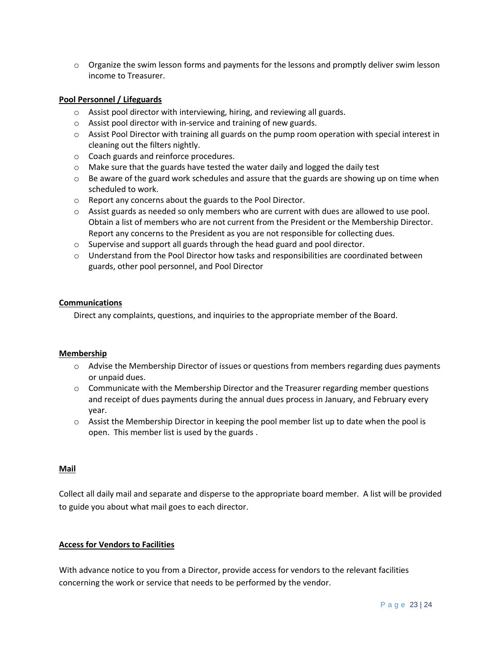$\circ$  Organize the swim lesson forms and payments for the lessons and promptly deliver swim lesson income to Treasurer.

#### **Pool Personnel / Lifeguards**

- o Assist pool director with interviewing, hiring, and reviewing all guards.
- o Assist pool director with in-service and training of new guards.
- o Assist Pool Director with training all guards on the pump room operation with special interest in cleaning out the filters nightly.
- o Coach guards and reinforce procedures.
- $\circ$  Make sure that the guards have tested the water daily and logged the daily test
- $\circ$  Be aware of the guard work schedules and assure that the guards are showing up on time when scheduled to work.
- o Report any concerns about the guards to the Pool Director.
- o Assist guards as needed so only members who are current with dues are allowed to use pool. Obtain a list of members who are not current from the President or the Membership Director. Report any concerns to the President as you are not responsible for collecting dues.
- $\circ$  Supervise and support all guards through the head guard and pool director.
- $\circ$  Understand from the Pool Director how tasks and responsibilities are coordinated between guards, other pool personnel, and Pool Director

#### **Communications**

Direct any complaints, questions, and inquiries to the appropriate member of the Board.

#### **Membership**

- $\circ$  Advise the Membership Director of issues or questions from members regarding dues payments or unpaid dues.
- $\circ$  Communicate with the Membership Director and the Treasurer regarding member questions and receipt of dues payments during the annual dues process in January, and February every year.
- $\circ$  Assist the Membership Director in keeping the pool member list up to date when the pool is open. This member list is used by the guards .

#### **Mail**

Collect all daily mail and separate and disperse to the appropriate board member. A list will be provided to guide you about what mail goes to each director.

#### **Access for Vendors to Facilities**

With advance notice to you from a Director, provide access for vendors to the relevant facilities concerning the work or service that needs to be performed by the vendor.